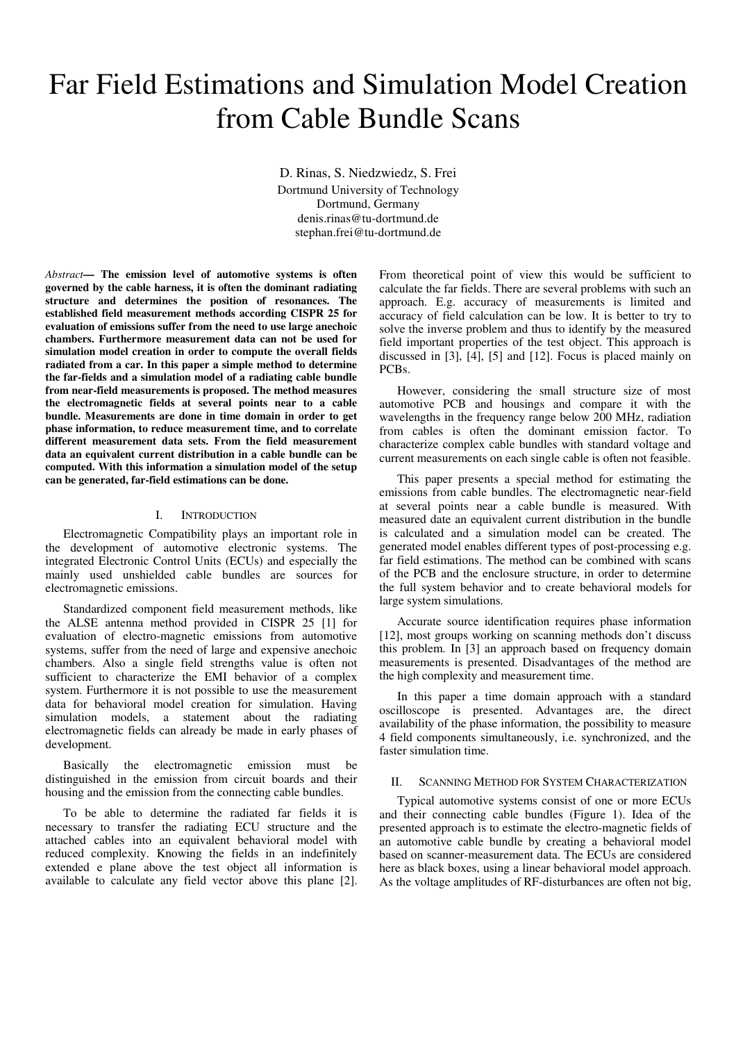# Far Field Estimations and Simulation Model Creation from Cable Bundle Scans

D. Rinas, S. Niedzwiedz, S. Frei Dortmund University of Technology Dortmund, Germany denis.rinas@tu-dortmund.de stephan.frei@tu-dortmund.de

*Abstract***— The emission level of automotive systems is often governed by the cable harness, it is often the dominant radiating structure and determines the position of resonances. The established field measurement methods according CISPR 25 for evaluation of emissions suffer from the need to use large anechoic chambers. Furthermore measurement data can not be used for simulation model creation in order to compute the overall fields radiated from a car. In this paper a simple method to determine the far-fields and a simulation model of a radiating cable bundle from near-field measurements is proposed. The method measures the electromagnetic fields at several points near to a cable bundle. Measurements are done in time domain in order to get phase information, to reduce measurement time, and to correlate different measurement data sets. From the field measurement data an equivalent current distribution in a cable bundle can be computed. With this information a simulation model of the setup can be generated, far-field estimations can be done.** 

# I. INTRODUCTION

Electromagnetic Compatibility plays an important role in the development of automotive electronic systems. The integrated Electronic Control Units (ECUs) and especially the mainly used unshielded cable bundles are sources for electromagnetic emissions.

Standardized component field measurement methods, like the ALSE antenna method provided in CISPR 25 [1] for evaluation of electro-magnetic emissions from automotive systems, suffer from the need of large and expensive anechoic chambers. Also a single field strengths value is often not sufficient to characterize the EMI behavior of a complex system. Furthermore it is not possible to use the measurement data for behavioral model creation for simulation. Having simulation models, a statement about the radiating electromagnetic fields can already be made in early phases of development.

Basically the electromagnetic emission must be distinguished in the emission from circuit boards and their housing and the emission from the connecting cable bundles.

To be able to determine the radiated far fields it is necessary to transfer the radiating ECU structure and the attached cables into an equivalent behavioral model with reduced complexity. Knowing the fields in an indefinitely extended e plane above the test object all information is available to calculate any field vector above this plane [2]. From theoretical point of view this would be sufficient to calculate the far fields. There are several problems with such an approach. E.g. accuracy of measurements is limited and accuracy of field calculation can be low. It is better to try to solve the inverse problem and thus to identify by the measured field important properties of the test object. This approach is discussed in [3], [4], [5] and [12]. Focus is placed mainly on PCBs.

However, considering the small structure size of most automotive PCB and housings and compare it with the wavelengths in the frequency range below 200 MHz, radiation from cables is often the dominant emission factor. To characterize complex cable bundles with standard voltage and current measurements on each single cable is often not feasible.

This paper presents a special method for estimating the emissions from cable bundles. The electromagnetic near-field at several points near a cable bundle is measured. With measured date an equivalent current distribution in the bundle is calculated and a simulation model can be created. The generated model enables different types of post-processing e.g. far field estimations. The method can be combined with scans of the PCB and the enclosure structure, in order to determine the full system behavior and to create behavioral models for large system simulations.

Accurate source identification requires phase information [12], most groups working on scanning methods don't discuss this problem. In [3] an approach based on frequency domain measurements is presented. Disadvantages of the method are the high complexity and measurement time.

In this paper a time domain approach with a standard oscilloscope is presented. Advantages are, the direct availability of the phase information, the possibility to measure 4 field components simultaneously, i.e. synchronized, and the faster simulation time.

#### II. SCANNING METHOD FOR SYSTEM CHARACTERIZATION

Typical automotive systems consist of one or more ECUs and their connecting cable bundles (Figure 1). Idea of the presented approach is to estimate the electro-magnetic fields of an automotive cable bundle by creating a behavioral model based on scanner-measurement data. The ECUs are considered here as black boxes, using a linear behavioral model approach. As the voltage amplitudes of RF-disturbances are often not big,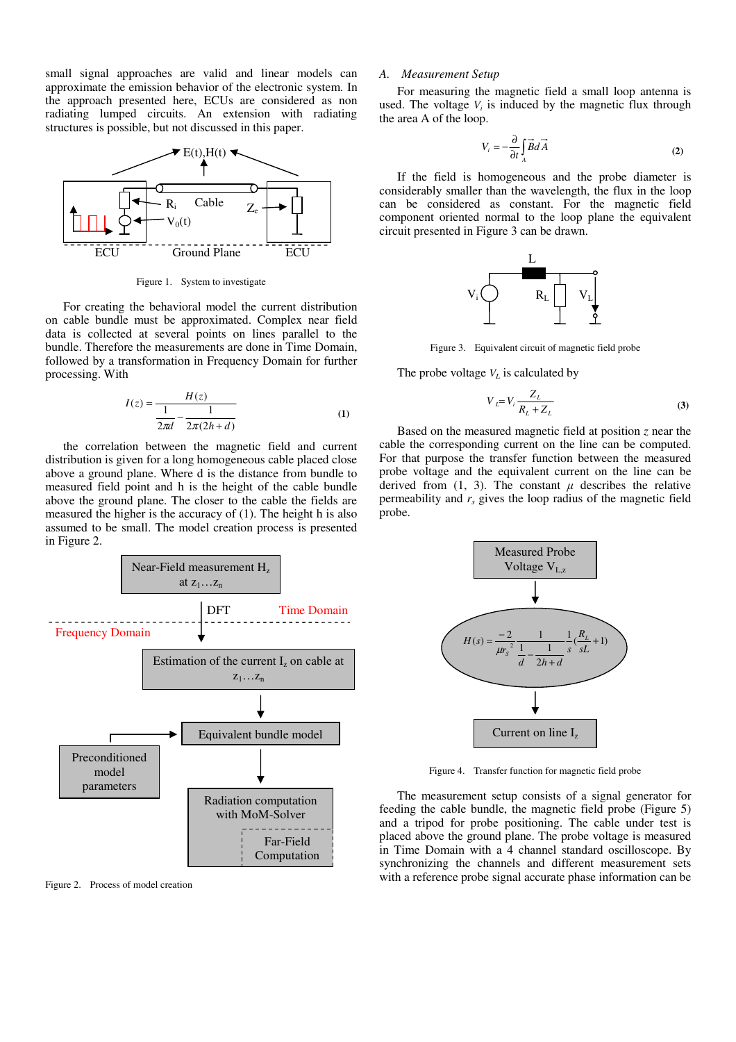small signal approaches are valid and linear models can approximate the emission behavior of the electronic system. In the approach presented here, ECUs are considered as non radiating lumped circuits. An extension with radiating structures is possible, but not discussed in this paper.



Figure 1. System to investigate

For creating the behavioral model the current distribution on cable bundle must be approximated. Complex near field data is collected at several points on lines parallel to the bundle. Therefore the measurements are done in Time Domain, followed by a transformation in Frequency Domain for further processing. With

$$
I(z) = \frac{H(z)}{\frac{1}{2\pi d} - \frac{1}{2\pi(2h+d)}}\tag{1}
$$

the correlation between the magnetic field and current distribution is given for a long homogeneous cable placed close above a ground plane. Where d is the distance from bundle to measured field point and h is the height of the cable bundle above the ground plane. The closer to the cable the fields are measured the higher is the accuracy of (1). The height h is also assumed to be small. The model creation process is presented in Figure 2.



Figure 2. Process of model creation

# *A. Measurement Setup*

For measuring the magnetic field a small loop antenna is used. The voltage  $V_i$  is induced by the magnetic flux through the area A of the loop.

$$
V_i = -\frac{\partial}{\partial t} \int_A \vec{B} dA \tag{2}
$$

If the field is homogeneous and the probe diameter is considerably smaller than the wavelength, the flux in the loop can be considered as constant. For the magnetic field component oriented normal to the loop plane the equivalent circuit presented in Figure 3 can be drawn.



Figure 3. Equivalent circuit of magnetic field probe

The probe voltage  $V_L$  is calculated by

$$
V_L = V_i \frac{Z_L}{R_L + Z_L} \tag{3}
$$

Based on the measured magnetic field at position *z* near the cable the corresponding current on the line can be computed. For that purpose the transfer function between the measured probe voltage and the equivalent current on the line can be derived from  $(1, 3)$ . The constant  $\mu$  describes the relative permeability and  $r<sub>s</sub>$  gives the loop radius of the magnetic field probe.



Figure 4. Transfer function for magnetic field probe

The measurement setup consists of a signal generator for feeding the cable bundle, the magnetic field probe (Figure 5) and a tripod for probe positioning. The cable under test is placed above the ground plane. The probe voltage is measured in Time Domain with a 4 channel standard oscilloscope. By synchronizing the channels and different measurement sets with a reference probe signal accurate phase information can be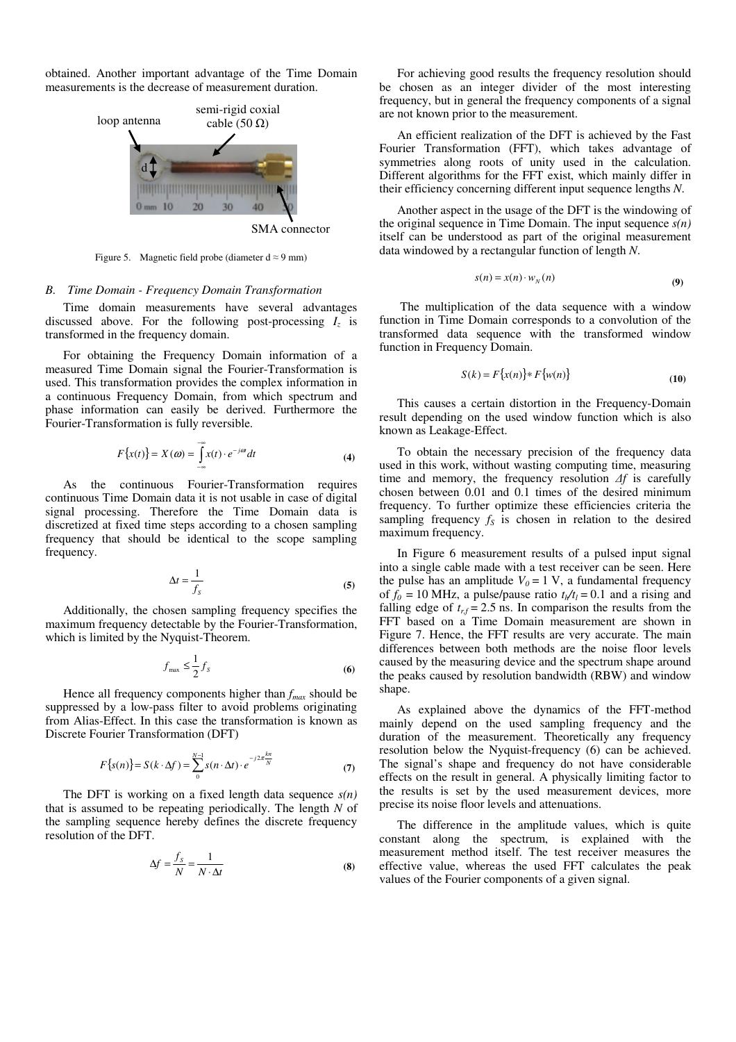obtained. Another important advantage of the Time Domain measurements is the decrease of measurement duration.



SMA connector

Figure 5. Magnetic field probe (diameter  $d \approx 9$  mm)

#### *B. Time Domain - Frequency Domain Transformation*

Time domain measurements have several advantages discussed above. For the following post-processing  $I_z$  is transformed in the frequency domain.

For obtaining the Frequency Domain information of a measured Time Domain signal the Fourier-Transformation is used. This transformation provides the complex information in a continuous Frequency Domain, from which spectrum and phase information can easily be derived. Furthermore the Fourier-Transformation is fully reversible.

$$
F\{x(t)\} = X(\omega) = \int_{-\infty}^{\infty} x(t) \cdot e^{-j\omega t} dt
$$
 (4)

As the continuous Fourier-Transformation requires continuous Time Domain data it is not usable in case of digital signal processing. Therefore the Time Domain data is discretized at fixed time steps according to a chosen sampling frequency that should be identical to the scope sampling frequency.

$$
\Delta t = \frac{1}{f_s} \tag{5}
$$

Additionally, the chosen sampling frequency specifies the maximum frequency detectable by the Fourier-Transformation, which is limited by the Nyquist-Theorem.

$$
f_{\text{max}} \le \frac{1}{2} f_S \tag{6}
$$

Hence all frequency components higher than *fmax* should be suppressed by a low-pass filter to avoid problems originating from Alias-Effect. In this case the transformation is known as Discrete Fourier Transformation (DFT)

$$
F\{s(n)\} = S(k \cdot \Delta f) = \sum_{0}^{N-1} s(n \cdot \Delta t) \cdot e^{-j2\pi \frac{k n}{N}}
$$
 (7)

The DFT is working on a fixed length data sequence *s(n)* that is assumed to be repeating periodically. The length *N* of the sampling sequence hereby defines the discrete frequency resolution of the DFT.

$$
\Delta f = \frac{f_s}{N} = \frac{1}{N \cdot \Delta t} \tag{8}
$$

For achieving good results the frequency resolution should be chosen as an integer divider of the most interesting frequency, but in general the frequency components of a signal are not known prior to the measurement.

An efficient realization of the DFT is achieved by the Fast Fourier Transformation (FFT), which takes advantage of symmetries along roots of unity used in the calculation. Different algorithms for the FFT exist, which mainly differ in their efficiency concerning different input sequence lengths *N*.

Another aspect in the usage of the DFT is the windowing of the original sequence in Time Domain. The input sequence *s(n)* itself can be understood as part of the original measurement data windowed by a rectangular function of length *N*.

$$
s(n) = x(n) \cdot w_N(n) \tag{9}
$$

 The multiplication of the data sequence with a window function in Time Domain corresponds to a convolution of the transformed data sequence with the transformed window function in Frequency Domain.

$$
S(k) = F\{x(n)\} * F\{w(n)\}\tag{10}
$$

This causes a certain distortion in the Frequency-Domain result depending on the used window function which is also known as Leakage-Effect.

To obtain the necessary precision of the frequency data used in this work, without wasting computing time, measuring time and memory, the frequency resolution *∆f* is carefully chosen between 0.01 and 0.1 times of the desired minimum frequency. To further optimize these efficiencies criteria the sampling frequency  $f<sub>S</sub>$  is chosen in relation to the desired maximum frequency.

In Figure 6 measurement results of a pulsed input signal into a single cable made with a test receiver can be seen. Here the pulse has an amplitude  $V_0 = 1$  V, a fundamental frequency of  $f_0 = 10$  MHz, a pulse/pause ratio  $t_h/t_l = 0.1$  and a rising and falling edge of  $t_{rf} = 2.5$  ns. In comparison the results from the FFT based on a Time Domain measurement are shown in Figure 7. Hence, the FFT results are very accurate. The main differences between both methods are the noise floor levels caused by the measuring device and the spectrum shape around the peaks caused by resolution bandwidth (RBW) and window shape.

As explained above the dynamics of the FFT-method mainly depend on the used sampling frequency and the duration of the measurement. Theoretically any frequency resolution below the Nyquist-frequency (6) can be achieved. The signal's shape and frequency do not have considerable effects on the result in general. A physically limiting factor to the results is set by the used measurement devices, more precise its noise floor levels and attenuations.

The difference in the amplitude values, which is quite constant along the spectrum, is explained with the measurement method itself. The test receiver measures the effective value, whereas the used FFT calculates the peak values of the Fourier components of a given signal.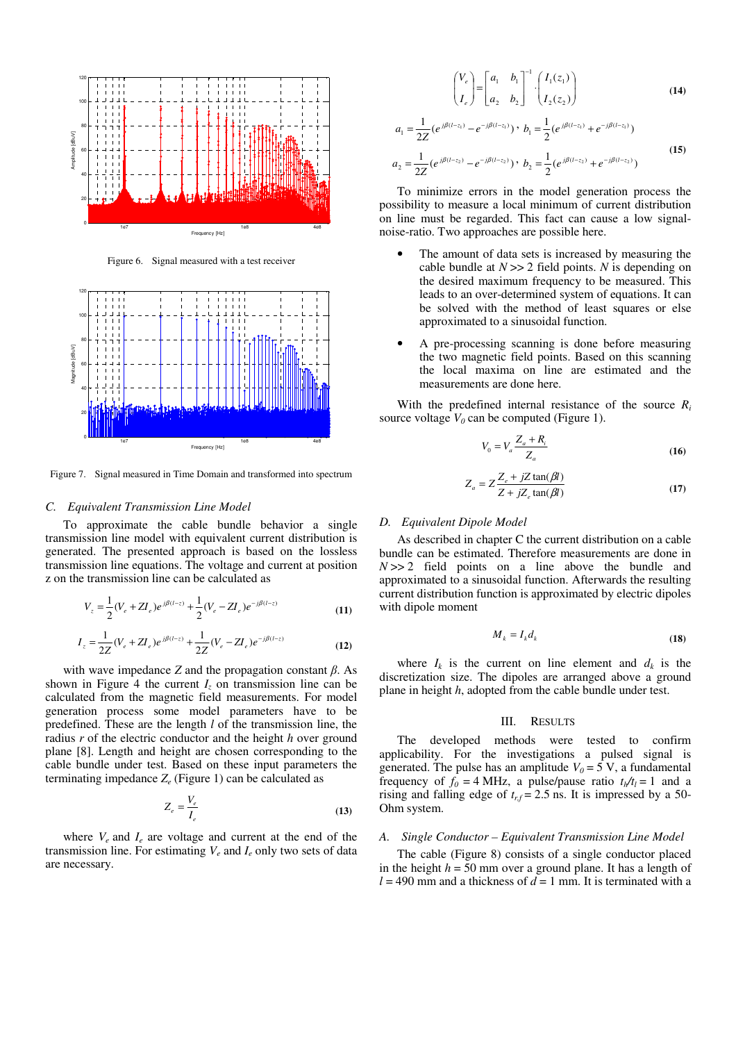

Figure 6. Signal measured with a test receiver



Figure 7. Signal measured in Time Domain and transformed into spectrum

# *C. Equivalent Transmission Line Model*

To approximate the cable bundle behavior a single transmission line model with equivalent current distribution is generated. The presented approach is based on the lossless transmission line equations. The voltage and current at position z on the transmission line can be calculated as

$$
V_z = \frac{1}{2} (V_e + Z I_e) e^{j\beta(l-z)} + \frac{1}{2} (V_e - Z I_e) e^{-j\beta(l-z)}
$$
(11)

$$
I_z = \frac{1}{2Z}(V_e + ZI_e)e^{j\beta(l-z)} + \frac{1}{2Z}(V_e - ZI_e)e^{-j\beta(l-z)}
$$
(12)

with wave impedance *Z* and the propagation constant *β*. As shown in Figure 4 the current  $I_z$  on transmission line can be calculated from the magnetic field measurements. For model generation process some model parameters have to be predefined. These are the length *l* of the transmission line, the radius *r* of the electric conductor and the height *h* over ground plane [8]. Length and height are chosen corresponding to the cable bundle under test. Based on these input parameters the terminating impedance *Z<sup>e</sup>* (Figure 1) can be calculated as

$$
Z_e = \frac{V_e}{I_e} \tag{13}
$$

where  $V_e$  and  $I_e$  are voltage and current at the end of the transmission line. For estimating  $V_e$  and  $I_e$  only two sets of data are necessary.

$$
\begin{pmatrix} V_e \\ I_e \end{pmatrix} = \begin{bmatrix} a_1 & b_1 \\ a_2 & b_2 \end{bmatrix}^{-1} \cdot \begin{pmatrix} I_1(z_1) \\ I_2(z_2) \end{pmatrix}
$$
 (14)

$$
a_1 = \frac{1}{2Z} (e^{j\beta(l-z_1)} - e^{-j\beta(l-z_1)}) \cdot b_1 = \frac{1}{2} (e^{j\beta(l-z_1)} + e^{-j\beta(l-z_1)})
$$
  
\n
$$
a_2 = \frac{1}{2Z} (e^{j\beta(l-z_2)} - e^{-j\beta(l-z_2)}) \cdot b_2 = \frac{1}{2} (e^{j\beta(l-z_2)} + e^{-j\beta(l-z_2)})
$$
\n(15)

To minimize errors in the model generation process the possibility to measure a local minimum of current distribution on line must be regarded. This fact can cause a low signalnoise-ratio. Two approaches are possible here.

- The amount of data sets is increased by measuring the cable bundle at *N* >> 2 field points. *N* is depending on the desired maximum frequency to be measured. This leads to an over-determined system of equations. It can be solved with the method of least squares or else approximated to a sinusoidal function.
- A pre-processing scanning is done before measuring the two magnetic field points. Based on this scanning the local maxima on line are estimated and the measurements are done here.

With the predefined internal resistance of the source  $R_i$ source voltage  $V_0$  can be computed (Figure 1).

$$
V_0 = V_a \frac{Z_a + R_i}{Z_a} \tag{16}
$$

$$
Z_a = Z \frac{Z_e + jZ \tan(\beta l)}{Z + jZ_e \tan(\beta l)}
$$
(17)

### *D. Equivalent Dipole Model*

As described in chapter C the current distribution on a cable bundle can be estimated. Therefore measurements are done in  $N \gg 2$  field points on a line above the bundle and approximated to a sinusoidal function. Afterwards the resulting current distribution function is approximated by electric dipoles with dipole moment

$$
M_k = I_k d_k \tag{18}
$$

where  $I_k$  is the current on line element and  $d_k$  is the discretization size. The dipoles are arranged above a ground plane in height *h*, adopted from the cable bundle under test.

#### III. RESULTS

The developed methods were tested to confirm applicability. For the investigations a pulsed signal is generated. The pulse has an amplitude  $V_0 = 5$  V, a fundamental frequency of  $f_0 = 4$  MHz, a pulse/pause ratio  $t_h/t_l = 1$  and a rising and falling edge of  $t_{rf} = 2.5$  ns. It is impressed by a 50-Ohm system.

#### *A. Single Conductor – Equivalent Transmission Line Model*

The cable (Figure 8) consists of a single conductor placed in the height  $h = 50$  mm over a ground plane. It has a length of  $l = 490$  mm and a thickness of  $d = 1$  mm. It is terminated with a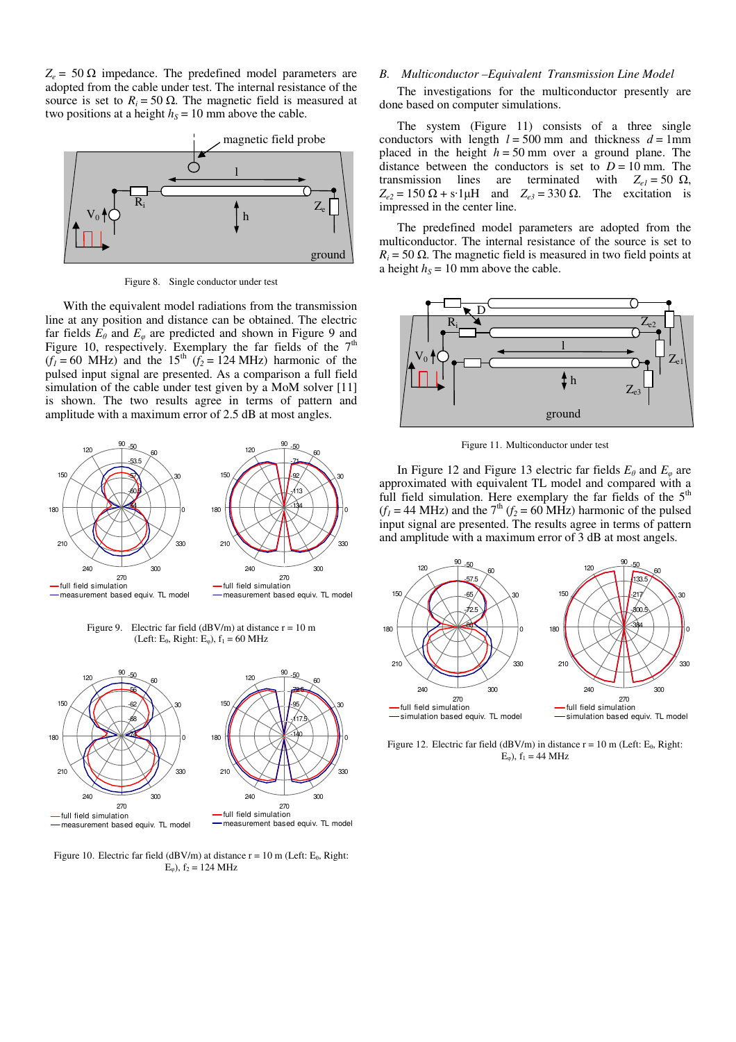$Z_e$  = 50  $\Omega$  impedance. The predefined model parameters are adopted from the cable under test. The internal resistance of the source is set to  $R_i = 50 \Omega$ . The magnetic field is measured at two positions at a height  $h<sub>S</sub> = 10$  mm above the cable.



Figure 8. Single conductor under test

With the equivalent model radiations from the transmission line at any position and distance can be obtained. The electric far fields  $E_\theta$  and  $E_\varphi$  are predicted and shown in Figure 9 and Figure 10, respectively. Exemplary the far fields of the  $7<sup>th</sup>$  $(f<sub>I</sub> = 60 MHz)$  and the 15<sup>th</sup>  $(f<sub>2</sub> = 124 MHz)$  harmonic of the pulsed input signal are presented. As a comparison a full field simulation of the cable under test given by a MoM solver [11] is shown. The two results agree in terms of pattern and amplitude with a maximum error of 2.5 dB at most angles.



Figure 9. Electric far field ( $dBV/m$ ) at distance  $r = 10$  m (Left:  $E_{\theta}$ , Right:  $E_{\phi}$ ),  $f_1 = 60$  MHz



Figure 10. Electric far field (dBV/m) at distance  $r = 10$  m (Left: E<sub>0</sub>, Right:  $E_{\omega}$ ),  $f_2 = 124 \text{ MHz}$ 

# *B. Multiconductor –Equivalent Transmission Line Model*

The investigations for the multiconductor presently are done based on computer simulations.

The system (Figure 11) consists of a three single conductors with length  $l = 500$  mm and thickness  $d = 1$ mm placed in the height  $h = 50$  mm over a ground plane. The distance between the conductors is set to  $D = 10$  mm. The transmission lines are terminated with  $Z_{eI} = 50 \Omega$ ,  $Z_{e2} = 150 \Omega + s \cdot 1 \mu H$  and  $Z_{e3} = 330 \Omega$ . The excitation is impressed in the center line.

The predefined model parameters are adopted from the multiconductor. The internal resistance of the source is set to  $R_i = 50 \Omega$ . The magnetic field is measured in two field points at a height  $h<sub>S</sub> = 10$  mm above the cable.



Figure 11. Multiconductor under test

In Figure 12 and Figure 13 electric far fields  $E_\theta$  and  $E_\phi$  are approximated with equivalent TL model and compared with a full field simulation. Here exemplary the far fields of the  $5<sup>th</sup>$  $(f<sub>I</sub> = 44 MHz)$  and the  $7<sup>th</sup> (f<sub>2</sub> = 60 MHz)$  harmonic of the pulsed input signal are presented. The results agree in terms of pattern and amplitude with a maximum error of 3 dB at most angels.



Figure 12. Electric far field (dBV/m) in distance  $r = 10$  m (Left: E<sub>0</sub>, Right:  $E_{\varphi}$ ),  $f_1 = 44 \text{ MHz}$